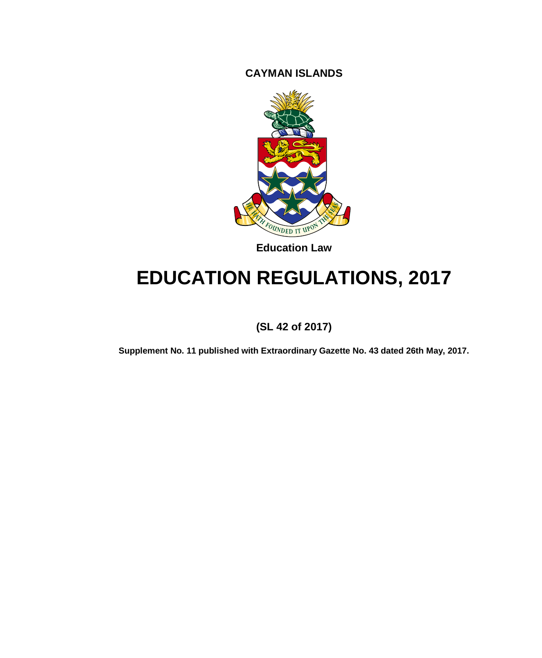**CAYMAN ISLANDS**



**Education Law**

# **EDUCATION REGULATIONS, 2017**

**(SL 42 of 2017)**

**Supplement No. 11 published with Extraordinary Gazette No. 43 dated 26th May, 2017.**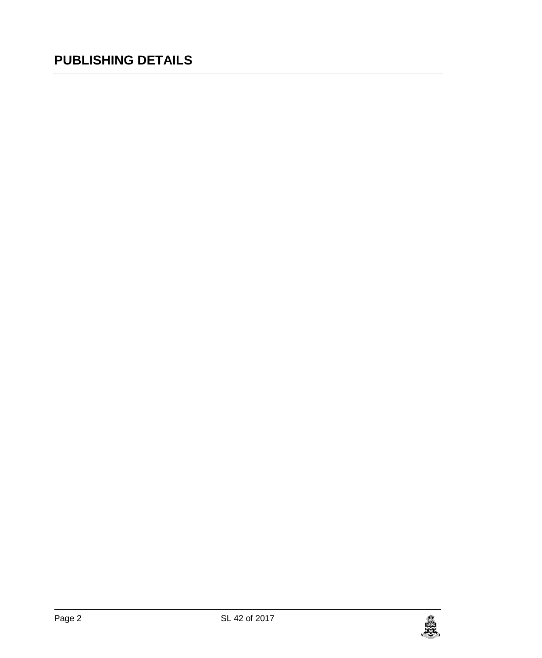# **PUBLISHING DETAILS**

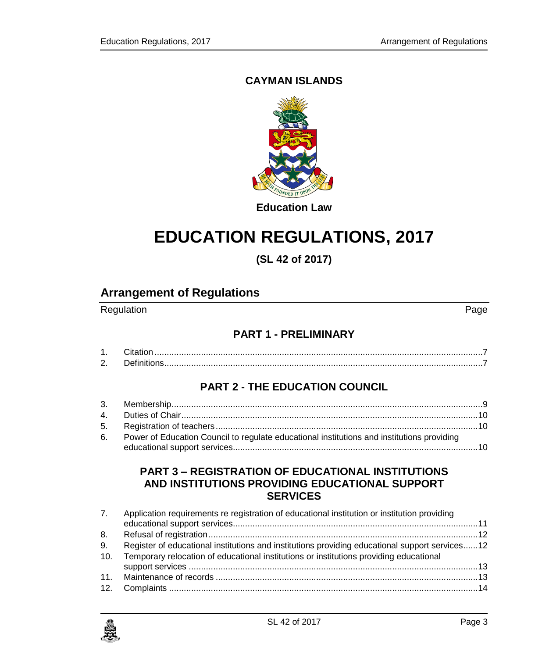### **CAYMAN ISLANDS**



# **EDUCATION REGULATIONS, 2017**

**(SL 42 of 2017)**

# **Arrangement of Regulations**

Regulation **Page** 

### **PART 1 - [PRELIMINARY](#page-6-0)**

| <u>.</u> |  |
|----------|--|

### **PART 2 - [THE EDUCATION COUNCIL](#page-8-0)**

| 6. Power of Education Council to regulate educational institutions and institutions providing |
|-----------------------------------------------------------------------------------------------|
|                                                                                               |

### **PART 3 – [REGISTRATION OF EDUCATIONAL INSTITUTIONS](#page-10-0)  [AND INSTITUTIONS PROVIDING EDUCATIONAL SUPPORT](#page-10-0)  [SERVICES](#page-10-0)**

|     | 7. Application requirements re registration of educational institution or institution providing |  |
|-----|-------------------------------------------------------------------------------------------------|--|
| 8.  |                                                                                                 |  |
| 9.  | Register of educational institutions and institutions providing educational support services12  |  |
| 10. | Temporary relocation of educational institutions or institutions providing educational          |  |
|     |                                                                                                 |  |
|     |                                                                                                 |  |
|     |                                                                                                 |  |

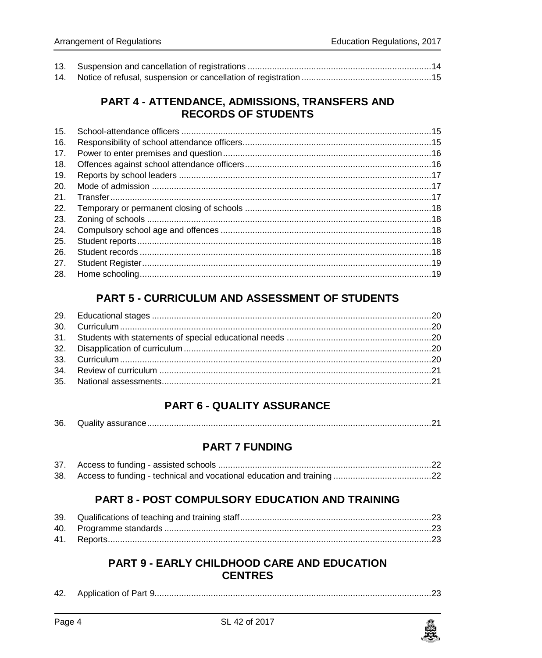### PART 4 - ATTENDANCE, ADMISSIONS, TRANSFERS AND **RECORDS OF STUDENTS**

| 16.<br>17. |  |
|------------|--|
|            |  |
|            |  |
| 18.        |  |
| 19.        |  |
| 20.        |  |
| 21.        |  |
| 22.        |  |
| 23.        |  |
| 24.        |  |
| 25.        |  |
| 26.        |  |
| 27.        |  |
| 28.        |  |

# **PART 5 - CURRICULUM AND ASSESSMENT OF STUDENTS**

### **PART 6 - QUALITY ASSURANCE**

### **PART 7 FUNDING**

### **PART 8 - POST COMPULSORY EDUCATION AND TRAINING**

### **PART 9 - EARLY CHILDHOOD CARE AND EDUCATION CENTRES**

| 42. | Application of Part " |  |  |
|-----|-----------------------|--|--|
|-----|-----------------------|--|--|

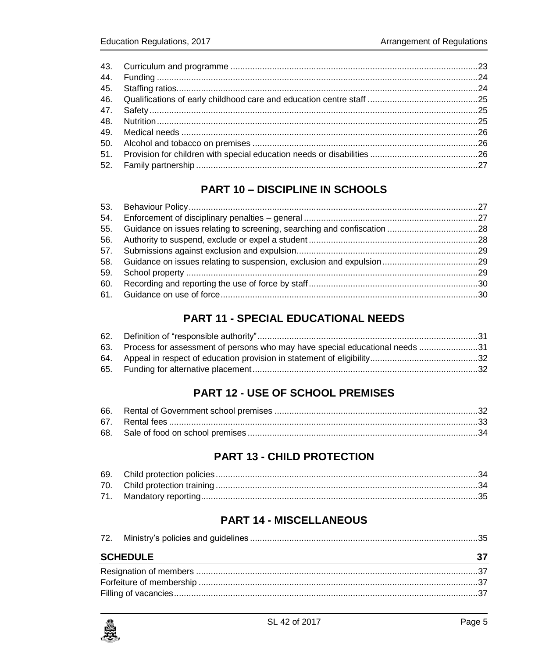# **PART 10 - DISCIPLINE IN SCHOOLS**

| 55. Guidance on issues relating to screening, searching and confiscation 28 |  |
|-----------------------------------------------------------------------------|--|
|                                                                             |  |
|                                                                             |  |
|                                                                             |  |
|                                                                             |  |
|                                                                             |  |
|                                                                             |  |

# **PART 11 - SPECIAL EDUCATIONAL NEEDS**

| 63. Process for assessment of persons who may have special educational needs 31 |  |
|---------------------------------------------------------------------------------|--|
|                                                                                 |  |
|                                                                                 |  |

# **PART 12 - USE OF SCHOOL PREMISES**

# **PART 13 - CHILD PROTECTION**

### **PART 14 - MISCELLANEOUS**

| <b>SCHEDULE</b> |  |
|-----------------|--|

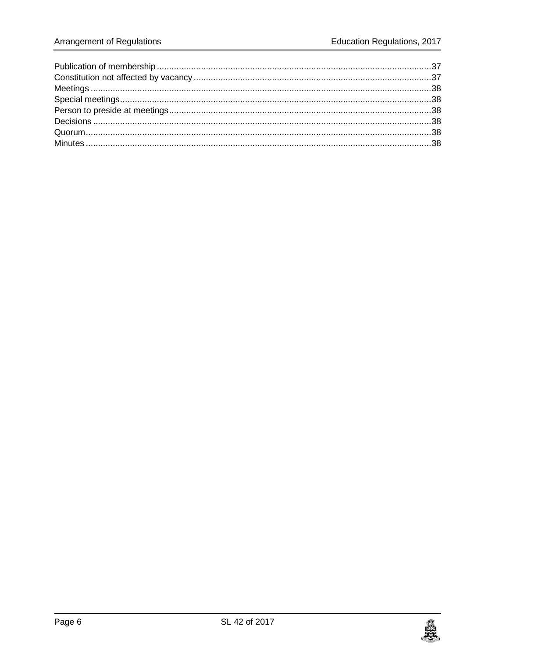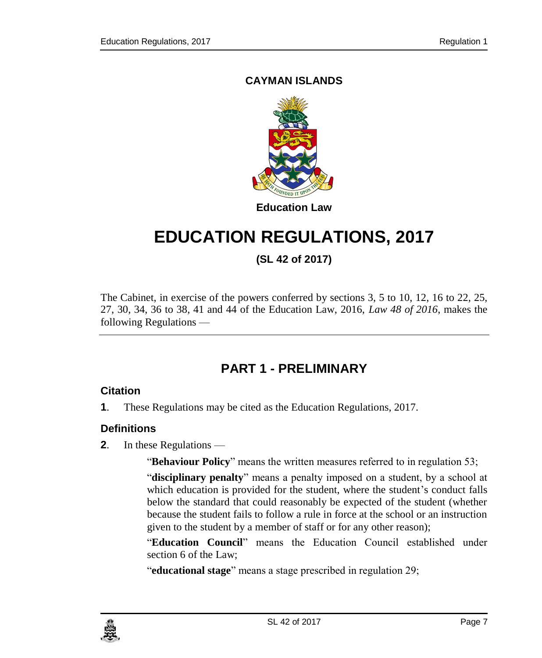### **CAYMAN ISLANDS**



# **EDUCATION REGULATIONS, 2017**

**(SL 42 of 2017)**

The Cabinet, in exercise of the powers conferred by sections 3, 5 to 10, 12, 16 to 22, 25, 27, 30, 34, 36 to 38, 41 and 44 of the Education Law, 2016, *Law 48 of 2016*, makes the following Regulations —

# **PART 1 - PRELIMINARY**

### <span id="page-6-1"></span><span id="page-6-0"></span>**1. Citation**

**1**. These Regulations may be cited as the Education Regulations, 2017.

### <span id="page-6-2"></span>**2. Definitions**

**2**. In these Regulations —

"**Behaviour Policy**" means the written measures referred to in regulation 53;

"**disciplinary penalty**" means a penalty imposed on a student, by a school at which education is provided for the student, where the student's conduct falls below the standard that could reasonably be expected of the student (whether because the student fails to follow a rule in force at the school or an instruction given to the student by a member of staff or for any other reason);

"**Education Council**" means the Education Council established under section 6 of the Law;

"**educational stage**" means a stage prescribed in regulation 29;

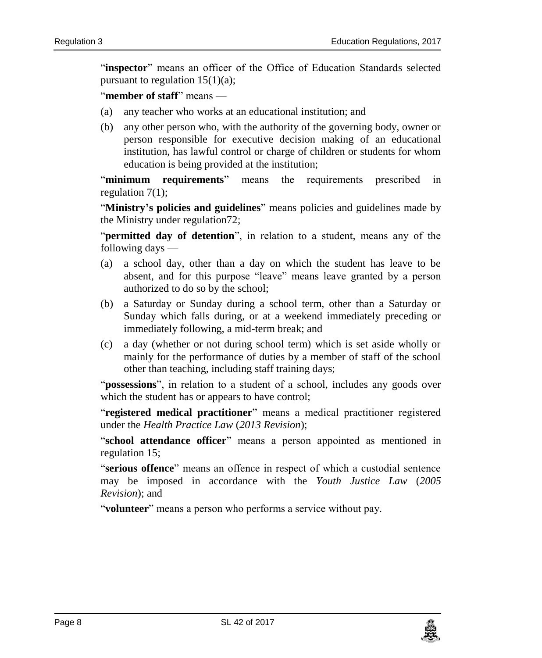"**inspector**" means an officer of the Office of Education Standards selected pursuant to regulation  $15(1)(a)$ ;

"**member of staff**" means —

- (a) any teacher who works at an educational institution; and
- (b) any other person who, with the authority of the governing body, owner or person responsible for executive decision making of an educational institution, has lawful control or charge of children or students for whom education is being provided at the institution;

"**minimum requirements**" means the requirements prescribed in regulation 7(1);

"**Ministry's policies and guidelines**" means policies and guidelines made by the Ministry under regulation72;

"**permitted day of detention**", in relation to a student, means any of the following days —

- (a) a school day, other than a day on which the student has leave to be absent, and for this purpose "leave" means leave granted by a person authorized to do so by the school;
- (b) a Saturday or Sunday during a school term, other than a Saturday or Sunday which falls during, or at a weekend immediately preceding or immediately following, a mid-term break; and
- (c) a day (whether or not during school term) which is set aside wholly or mainly for the performance of duties by a member of staff of the school other than teaching, including staff training days;

"**possessions**", in relation to a student of a school, includes any goods over which the student has or appears to have control;

"**registered medical practitioner**" means a medical practitioner registered under the *Health Practice Law* (*2013 Revision*);

"**school attendance officer**" means a person appointed as mentioned in regulation 15;

"**serious offence**" means an offence in respect of which a custodial sentence may be imposed in accordance with the *Youth Justice Law* (*2005 Revision*); and

"**volunteer**" means a person who performs a service without pay.

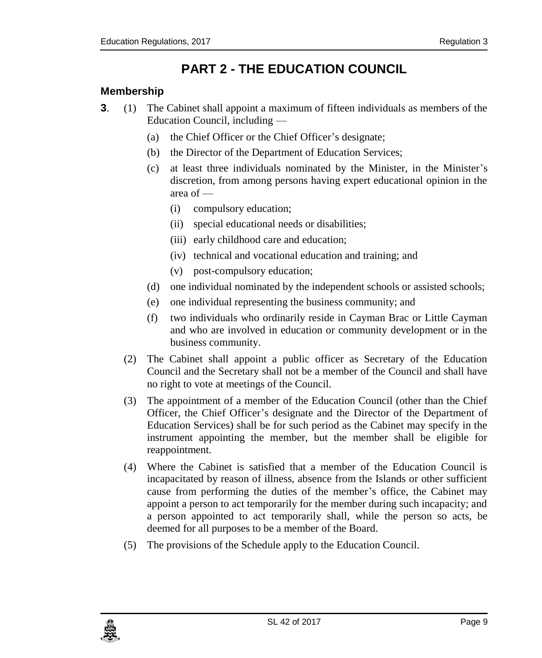# **PART 2 - THE EDUCATION COUNCIL**

### <span id="page-8-1"></span><span id="page-8-0"></span>**3. Membership**

- **3**. (1) The Cabinet shall appoint a maximum of fifteen individuals as members of the Education Council, including —
	- (a) the Chief Officer or the Chief Officer's designate;
	- (b) the Director of the Department of Education Services;
	- (c) at least three individuals nominated by the Minister, in the Minister's discretion, from among persons having expert educational opinion in the area of —
		- (i) compulsory education;
		- (ii) special educational needs or disabilities;
		- (iii) early childhood care and education;
		- (iv) technical and vocational education and training; and
		- (v) post-compulsory education;
	- (d) one individual nominated by the independent schools or assisted schools;
	- (e) one individual representing the business community; and
	- (f) two individuals who ordinarily reside in Cayman Brac or Little Cayman and who are involved in education or community development or in the business community.
	- (2) The Cabinet shall appoint a public officer as Secretary of the Education Council and the Secretary shall not be a member of the Council and shall have no right to vote at meetings of the Council.
	- (3) The appointment of a member of the Education Council (other than the Chief Officer, the Chief Officer's designate and the Director of the Department of Education Services) shall be for such period as the Cabinet may specify in the instrument appointing the member, but the member shall be eligible for reappointment.
	- (4) Where the Cabinet is satisfied that a member of the Education Council is incapacitated by reason of illness, absence from the Islands or other sufficient cause from performing the duties of the member's office, the Cabinet may appoint a person to act temporarily for the member during such incapacity; and a person appointed to act temporarily shall, while the person so acts, be deemed for all purposes to be a member of the Board.
	- (5) The provisions of the Schedule apply to the Education Council.

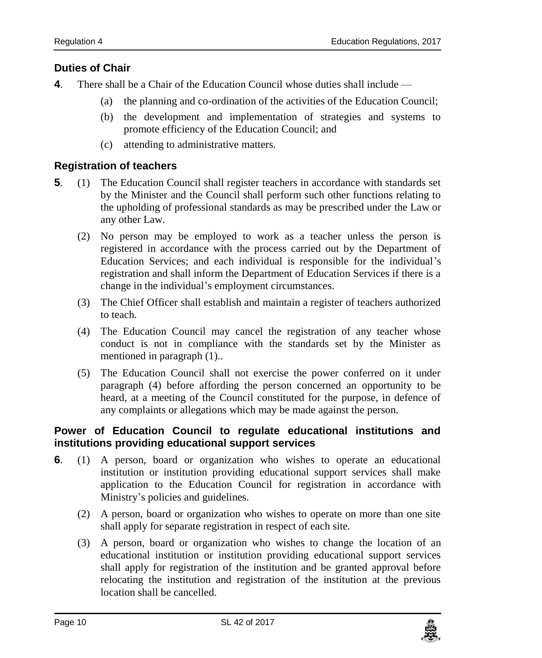### <span id="page-9-0"></span>**4. Duties of Chair**

- **4**. There shall be a Chair of the Education Council whose duties shall include
	- (a) the planning and co-ordination of the activities of the Education Council;
	- (b) the development and implementation of strategies and systems to promote efficiency of the Education Council; and
	- (c) attending to administrative matters.

### <span id="page-9-1"></span>**5. Registration of teachers**

- **5**. (1) The Education Council shall register teachers in accordance with standards set by the Minister and the Council shall perform such other functions relating to the upholding of professional standards as may be prescribed under the Law or any other Law.
	- (2) No person may be employed to work as a teacher unless the person is registered in accordance with the process carried out by the Department of Education Services; and each individual is responsible for the individual's registration and shall inform the Department of Education Services if there is a change in the individual's employment circumstances.
	- (3) The Chief Officer shall establish and maintain a register of teachers authorized to teach.
	- (4) The Education Council may cancel the registration of any teacher whose conduct is not in compliance with the standards set by the Minister as mentioned in paragraph (1)..
	- (5) The Education Council shall not exercise the power conferred on it under paragraph (4) before affording the person concerned an opportunity to be heard, at a meeting of the Council constituted for the purpose, in defence of any complaints or allegations which may be made against the person.

### <span id="page-9-2"></span>**6. Power of Education Council to regulate educational institutions and institutions providing educational support services**

- **6**. (1) A person, board or organization who wishes to operate an educational institution or institution providing educational support services shall make application to the Education Council for registration in accordance with Ministry's policies and guidelines.
	- (2) A person, board or organization who wishes to operate on more than one site shall apply for separate registration in respect of each site.
	- (3) A person, board or organization who wishes to change the location of an educational institution or institution providing educational support services shall apply for registration of the institution and be granted approval before relocating the institution and registration of the institution at the previous location shall be cancelled.

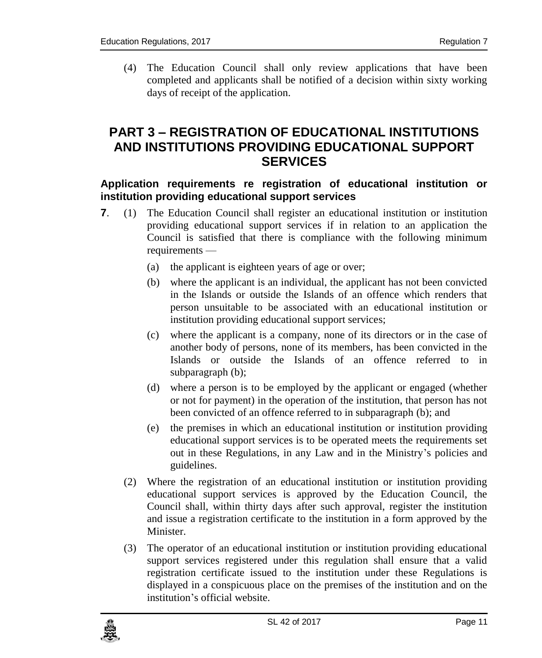(4) The Education Council shall only review applications that have been completed and applicants shall be notified of a decision within sixty working days of receipt of the application.

# <span id="page-10-0"></span>**PART 3 – REGISTRATION OF EDUCATIONAL INSTITUTIONS AND INSTITUTIONS PROVIDING EDUCATIONAL SUPPORT SERVICES**

### <span id="page-10-1"></span>**7. Application requirements re registration of educational institution or institution providing educational support services**

- **7.** (1) The Education Council shall register an educational institution or institution providing educational support services if in relation to an application the Council is satisfied that there is compliance with the following minimum requirements —
	- (a) the applicant is eighteen years of age or over;
	- (b) where the applicant is an individual, the applicant has not been convicted in the Islands or outside the Islands of an offence which renders that person unsuitable to be associated with an educational institution or institution providing educational support services;
	- (c) where the applicant is a company, none of its directors or in the case of another body of persons, none of its members, has been convicted in the Islands or outside the Islands of an offence referred to in subparagraph (b);
	- (d) where a person is to be employed by the applicant or engaged (whether or not for payment) in the operation of the institution, that person has not been convicted of an offence referred to in subparagraph (b); and
	- (e) the premises in which an educational institution or institution providing educational support services is to be operated meets the requirements set out in these Regulations, in any Law and in the Ministry's policies and guidelines.
	- (2) Where the registration of an educational institution or institution providing educational support services is approved by the Education Council, the Council shall, within thirty days after such approval, register the institution and issue a registration certificate to the institution in a form approved by the Minister.
	- (3) The operator of an educational institution or institution providing educational support services registered under this regulation shall ensure that a valid registration certificate issued to the institution under these Regulations is displayed in a conspicuous place on the premises of the institution and on the institution's official website.

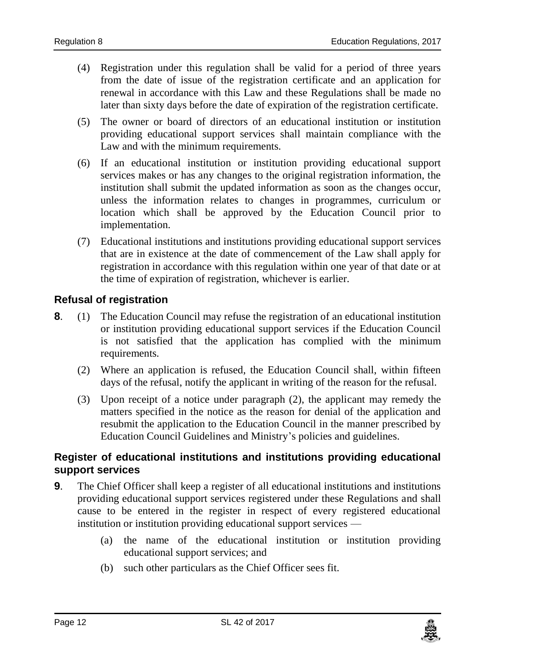- (4) Registration under this regulation shall be valid for a period of three years from the date of issue of the registration certificate and an application for renewal in accordance with this Law and these Regulations shall be made no later than sixty days before the date of expiration of the registration certificate.
- (5) The owner or board of directors of an educational institution or institution providing educational support services shall maintain compliance with the Law and with the minimum requirements.
- (6) If an educational institution or institution providing educational support services makes or has any changes to the original registration information, the institution shall submit the updated information as soon as the changes occur, unless the information relates to changes in programmes, curriculum or location which shall be approved by the Education Council prior to implementation.
- (7) Educational institutions and institutions providing educational support services that are in existence at the date of commencement of the Law shall apply for registration in accordance with this regulation within one year of that date or at the time of expiration of registration, whichever is earlier.

### <span id="page-11-0"></span>**8. Refusal of registration**

- **8**. (1) The Education Council may refuse the registration of an educational institution or institution providing educational support services if the Education Council is not satisfied that the application has complied with the minimum requirements.
	- (2) Where an application is refused, the Education Council shall, within fifteen days of the refusal, notify the applicant in writing of the reason for the refusal.
	- (3) Upon receipt of a notice under paragraph (2), the applicant may remedy the matters specified in the notice as the reason for denial of the application and resubmit the application to the Education Council in the manner prescribed by Education Council Guidelines and Ministry's policies and guidelines.

### <span id="page-11-1"></span>**9. Register of educational institutions and institutions providing educational support services**

- **9.** The Chief Officer shall keep a register of all educational institutions and institutions providing educational support services registered under these Regulations and shall cause to be entered in the register in respect of every registered educational institution or institution providing educational support services —
	- (a) the name of the educational institution or institution providing educational support services; and
	- (b) such other particulars as the Chief Officer sees fit.

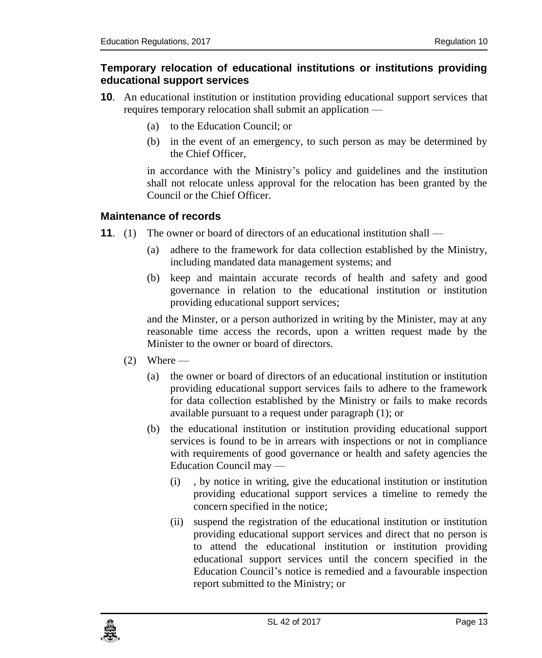### <span id="page-12-0"></span>**10. Temporary relocation of educational institutions or institutions providing educational support services**

- **10**. An educational institution or institution providing educational support services that requires temporary relocation shall submit an application —
	- (a) to the Education Council; or
	- (b) in the event of an emergency, to such person as may be determined by the Chief Officer,

in accordance with the Ministry's policy and guidelines and the institution shall not relocate unless approval for the relocation has been granted by the Council or the Chief Officer.

### <span id="page-12-1"></span>**11. Maintenance of records**

- **11.** (1) The owner or board of directors of an educational institution shall
	- (a) adhere to the framework for data collection established by the Ministry, including mandated data management systems; and
	- (b) keep and maintain accurate records of health and safety and good governance in relation to the educational institution or institution providing educational support services;

and the Minster, or a person authorized in writing by the Minister, may at any reasonable time access the records, upon a written request made by the Minister to the owner or board of directors.

- $(2)$  Where
	- (a) the owner or board of directors of an educational institution or institution providing educational support services fails to adhere to the framework for data collection established by the Ministry or fails to make records available pursuant to a request under paragraph (1); or
	- (b) the educational institution or institution providing educational support services is found to be in arrears with inspections or not in compliance with requirements of good governance or health and safety agencies the Education Council may —
		- (i) , by notice in writing, give the educational institution or institution providing educational support services a timeline to remedy the concern specified in the notice;
		- (ii) suspend the registration of the educational institution or institution providing educational support services and direct that no person is to attend the educational institution or institution providing educational support services until the concern specified in the Education Council's notice is remedied and a favourable inspection report submitted to the Ministry; or

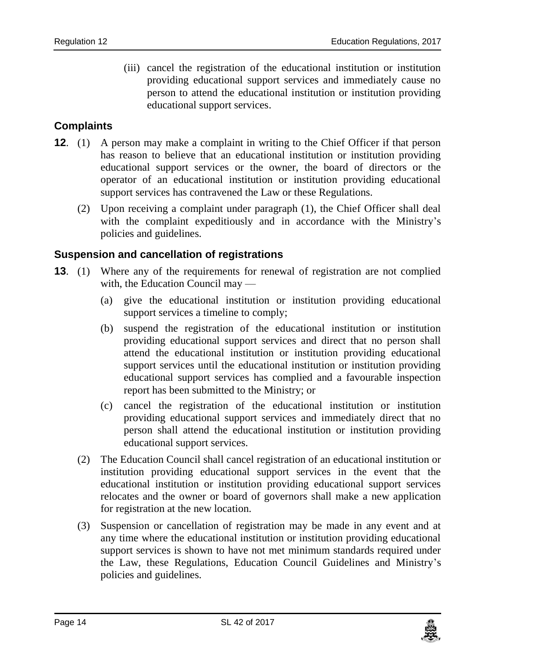(iii) cancel the registration of the educational institution or institution providing educational support services and immediately cause no person to attend the educational institution or institution providing educational support services.

### <span id="page-13-0"></span>**12. Complaints**

- **12.** (1) A person may make a complaint in writing to the Chief Officer if that person has reason to believe that an educational institution or institution providing educational support services or the owner, the board of directors or the operator of an educational institution or institution providing educational support services has contravened the Law or these Regulations.
	- (2) Upon receiving a complaint under paragraph (1), the Chief Officer shall deal with the complaint expeditiously and in accordance with the Ministry's policies and guidelines.

### <span id="page-13-1"></span>**13. Suspension and cancellation of registrations**

- **13**. (1) Where any of the requirements for renewal of registration are not complied with, the Education Council may —
	- (a) give the educational institution or institution providing educational support services a timeline to comply;
	- (b) suspend the registration of the educational institution or institution providing educational support services and direct that no person shall attend the educational institution or institution providing educational support services until the educational institution or institution providing educational support services has complied and a favourable inspection report has been submitted to the Ministry; or
	- (c) cancel the registration of the educational institution or institution providing educational support services and immediately direct that no person shall attend the educational institution or institution providing educational support services.
	- (2) The Education Council shall cancel registration of an educational institution or institution providing educational support services in the event that the educational institution or institution providing educational support services relocates and the owner or board of governors shall make a new application for registration at the new location.
	- (3) Suspension or cancellation of registration may be made in any event and at any time where the educational institution or institution providing educational support services is shown to have not met minimum standards required under the Law, these Regulations, Education Council Guidelines and Ministry's policies and guidelines.

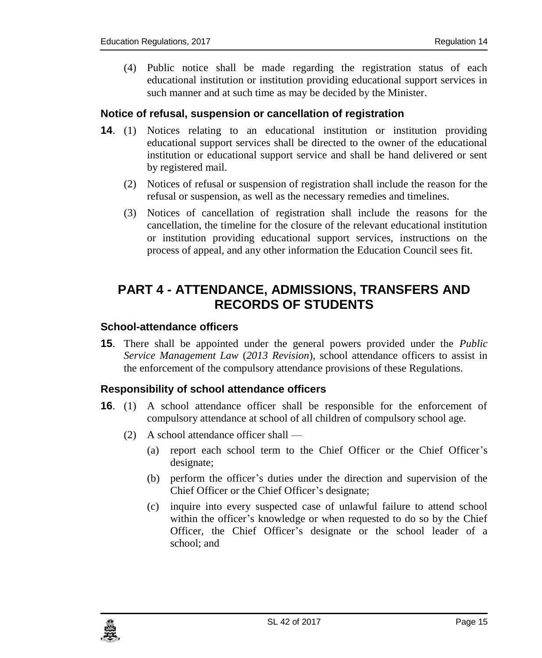(4) Public notice shall be made regarding the registration status of each educational institution or institution providing educational support services in such manner and at such time as may be decided by the Minister.

### <span id="page-14-0"></span>**14. Notice of refusal, suspension or cancellation of registration**

- **14**. (1) Notices relating to an educational institution or institution providing educational support services shall be directed to the owner of the educational institution or educational support service and shall be hand delivered or sent by registered mail.
	- (2) Notices of refusal or suspension of registration shall include the reason for the refusal or suspension, as well as the necessary remedies and timelines.
	- (3) Notices of cancellation of registration shall include the reasons for the cancellation, the timeline for the closure of the relevant educational institution or institution providing educational support services, instructions on the process of appeal, and any other information the Education Council sees fit.

# <span id="page-14-1"></span>**PART 4 - ATTENDANCE, ADMISSIONS, TRANSFERS AND RECORDS OF STUDENTS**

### <span id="page-14-2"></span>**15. School-attendance officers**

**15**. There shall be appointed under the general powers provided under the *Public Service Management Law* (*2013 Revision*), school attendance officers to assist in the enforcement of the compulsory attendance provisions of these Regulations.

### <span id="page-14-3"></span>**16. Responsibility of school attendance officers**

- **16**. (1) A school attendance officer shall be responsible for the enforcement of compulsory attendance at school of all children of compulsory school age.
	- (2) A school attendance officer shall
		- (a) report each school term to the Chief Officer or the Chief Officer's designate;
		- (b) perform the officer's duties under the direction and supervision of the Chief Officer or the Chief Officer's designate;
		- (c) inquire into every suspected case of unlawful failure to attend school within the officer's knowledge or when requested to do so by the Chief Officer, the Chief Officer's designate or the school leader of a school; and

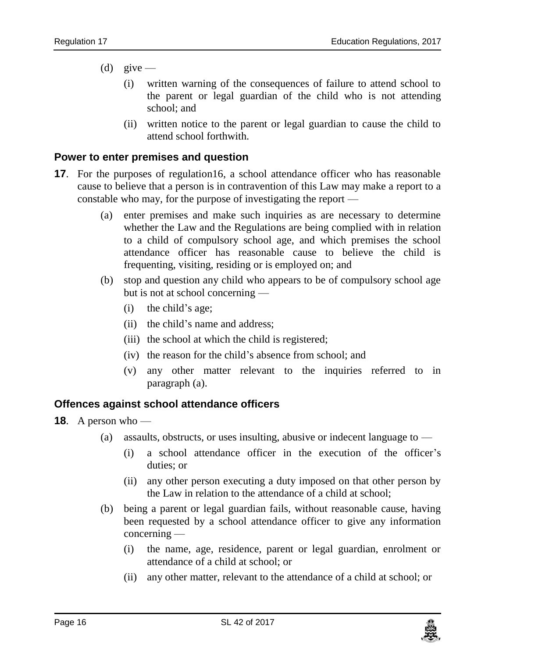- (d) give
	- (i) written warning of the consequences of failure to attend school to the parent or legal guardian of the child who is not attending school; and
	- (ii) written notice to the parent or legal guardian to cause the child to attend school forthwith.

### <span id="page-15-0"></span>**17. Power to enter premises and question**

- **17.** For the purposes of regulation16, a school attendance officer who has reasonable cause to believe that a person is in contravention of this Law may make a report to a constable who may, for the purpose of investigating the report —
	- (a) enter premises and make such inquiries as are necessary to determine whether the Law and the Regulations are being complied with in relation to a child of compulsory school age, and which premises the school attendance officer has reasonable cause to believe the child is frequenting, visiting, residing or is employed on; and
	- (b) stop and question any child who appears to be of compulsory school age but is not at school concerning —
		- (i) the child's age;
		- (ii) the child's name and address;
		- (iii) the school at which the child is registered;
		- (iv) the reason for the child's absence from school; and
		- (v) any other matter relevant to the inquiries referred to in paragraph (a).

#### <span id="page-15-1"></span>**18. Offences against school attendance officers**

- **18.** A person who
	- (a) assaults, obstructs, or uses insulting, abusive or indecent language to
		- (i) a school attendance officer in the execution of the officer's duties; or
		- (ii) any other person executing a duty imposed on that other person by the Law in relation to the attendance of a child at school;
	- (b) being a parent or legal guardian fails, without reasonable cause, having been requested by a school attendance officer to give any information concerning —
		- (i) the name, age, residence, parent or legal guardian, enrolment or attendance of a child at school; or
		- (ii) any other matter, relevant to the attendance of a child at school; or

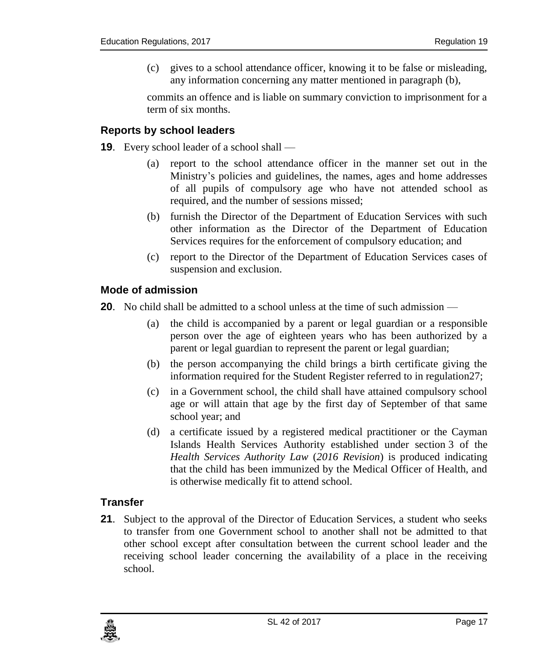(c) gives to a school attendance officer, knowing it to be false or misleading, any information concerning any matter mentioned in paragraph (b),

commits an offence and is liable on summary conviction to imprisonment for a term of six months.

### <span id="page-16-0"></span>**19. Reports by school leaders**

- **19**. Every school leader of a school shall
	- (a) report to the school attendance officer in the manner set out in the Ministry's policies and guidelines, the names, ages and home addresses of all pupils of compulsory age who have not attended school as required, and the number of sessions missed;
	- (b) furnish the Director of the Department of Education Services with such other information as the Director of the Department of Education Services requires for the enforcement of compulsory education; and
	- (c) report to the Director of the Department of Education Services cases of suspension and exclusion.

### <span id="page-16-1"></span>**20. Mode of admission**

**20**. No child shall be admitted to a school unless at the time of such admission —

- (a) the child is accompanied by a parent or legal guardian or a responsible person over the age of eighteen years who has been authorized by a parent or legal guardian to represent the parent or legal guardian;
- (b) the person accompanying the child brings a birth certificate giving the information required for the Student Register referred to in regulation27;
- (c) in a Government school, the child shall have attained compulsory school age or will attain that age by the first day of September of that same school year; and
- (d) a certificate issued by a registered medical practitioner or the Cayman Islands Health Services Authority established under section 3 of the *Health Services Authority Law* (*2016 Revision*) is produced indicating that the child has been immunized by the Medical Officer of Health, and is otherwise medically fit to attend school.

### <span id="page-16-2"></span>**21. Transfer**

**21.** Subject to the approval of the Director of Education Services, a student who seeks to transfer from one Government school to another shall not be admitted to that other school except after consultation between the current school leader and the receiving school leader concerning the availability of a place in the receiving school.

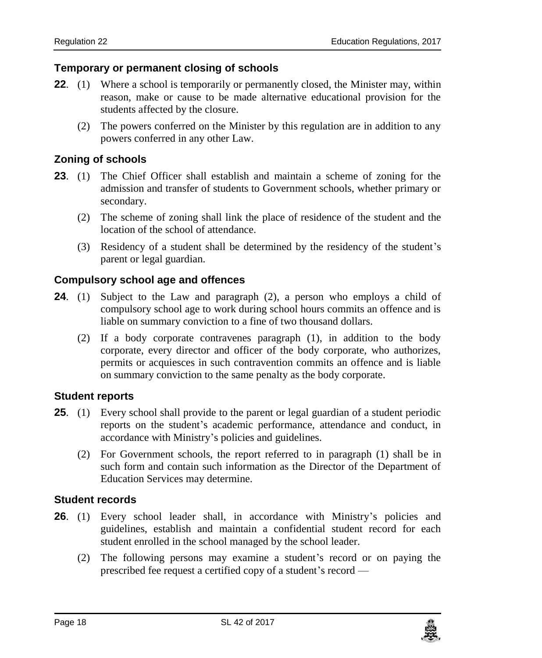### <span id="page-17-0"></span>**22. Temporary or permanent closing of schools**

- **22.** (1) Where a school is temporarily or permanently closed, the Minister may, within reason, make or cause to be made alternative educational provision for the students affected by the closure.
	- (2) The powers conferred on the Minister by this regulation are in addition to any powers conferred in any other Law.

### <span id="page-17-1"></span>**23. Zoning of schools**

- **23**. (1) The Chief Officer shall establish and maintain a scheme of zoning for the admission and transfer of students to Government schools, whether primary or secondary.
	- (2) The scheme of zoning shall link the place of residence of the student and the location of the school of attendance.
	- (3) Residency of a student shall be determined by the residency of the student's parent or legal guardian.

### <span id="page-17-2"></span>**24. Compulsory school age and offences**

- **24**. (1) Subject to the Law and paragraph (2), a person who employs a child of compulsory school age to work during school hours commits an offence and is liable on summary conviction to a fine of two thousand dollars.
	- (2) If a body corporate contravenes paragraph (1), in addition to the body corporate, every director and officer of the body corporate, who authorizes, permits or acquiesces in such contravention commits an offence and is liable on summary conviction to the same penalty as the body corporate.

#### <span id="page-17-3"></span>**25. Student reports**

- **25**. (1) Every school shall provide to the parent or legal guardian of a student periodic reports on the student's academic performance, attendance and conduct, in accordance with Ministry's policies and guidelines.
	- (2) For Government schools, the report referred to in paragraph (1) shall be in such form and contain such information as the Director of the Department of Education Services may determine.

#### <span id="page-17-4"></span>**26. Student records**

- **26**. (1) Every school leader shall, in accordance with Ministry's policies and guidelines, establish and maintain a confidential student record for each student enrolled in the school managed by the school leader.
	- (2) The following persons may examine a student's record or on paying the prescribed fee request a certified copy of a student's record —

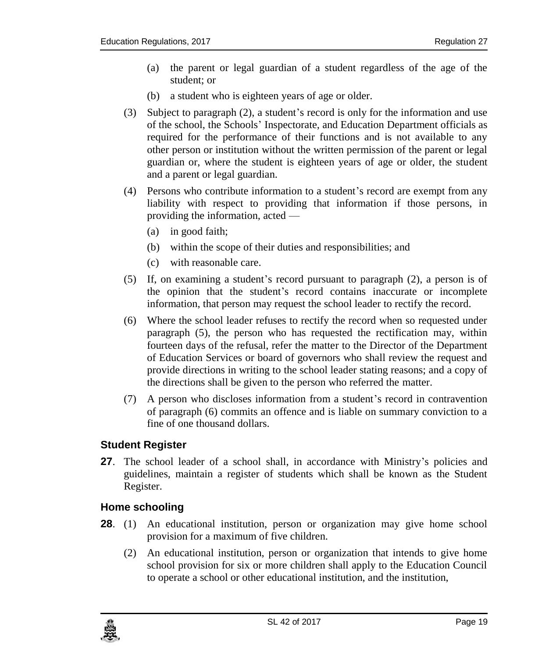- (a) the parent or legal guardian of a student regardless of the age of the student; or
- (b) a student who is eighteen years of age or older.
- (3) Subject to paragraph (2), a student's record is only for the information and use of the school, the Schools' Inspectorate, and Education Department officials as required for the performance of their functions and is not available to any other person or institution without the written permission of the parent or legal guardian or, where the student is eighteen years of age or older, the student and a parent or legal guardian.
- (4) Persons who contribute information to a student's record are exempt from any liability with respect to providing that information if those persons, in providing the information, acted —
	- (a) in good faith;
	- (b) within the scope of their duties and responsibilities; and
	- (c) with reasonable care.
- (5) If, on examining a student's record pursuant to paragraph (2), a person is of the opinion that the student's record contains inaccurate or incomplete information, that person may request the school leader to rectify the record.
- (6) Where the school leader refuses to rectify the record when so requested under paragraph (5), the person who has requested the rectification may, within fourteen days of the refusal, refer the matter to the Director of the Department of Education Services or board of governors who shall review the request and provide directions in writing to the school leader stating reasons; and a copy of the directions shall be given to the person who referred the matter.
- (7) A person who discloses information from a student's record in contravention of paragraph (6) commits an offence and is liable on summary conviction to a fine of one thousand dollars.

#### <span id="page-18-0"></span>**27. Student Register**

**27**. The school leader of a school shall, in accordance with Ministry's policies and guidelines, maintain a register of students which shall be known as the Student Register.

### <span id="page-18-1"></span>**28. Home schooling**

- **28**. (1) An educational institution, person or organization may give home school provision for a maximum of five children.
	- (2) An educational institution, person or organization that intends to give home school provision for six or more children shall apply to the Education Council to operate a school or other educational institution, and the institution,

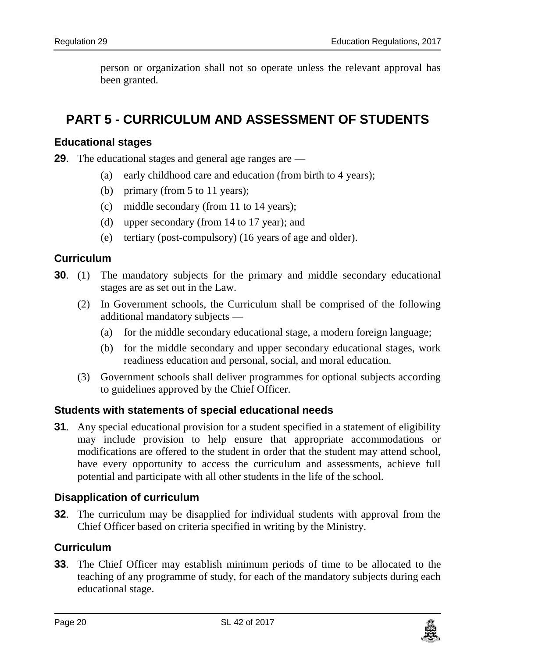person or organization shall not so operate unless the relevant approval has been granted.

# <span id="page-19-0"></span>**PART 5 - CURRICULUM AND ASSESSMENT OF STUDENTS**

### <span id="page-19-1"></span>**29. Educational stages**

**29**. The educational stages and general age ranges are —

- (a) early childhood care and education (from birth to 4 years);
- (b) primary (from 5 to 11 years);
- (c) middle secondary (from 11 to 14 years);
- (d) upper secondary (from 14 to 17 year); and
- (e) tertiary (post-compulsory) (16 years of age and older).

### <span id="page-19-2"></span>**30. Curriculum**

- **30.** (1) The mandatory subjects for the primary and middle secondary educational stages are as set out in the Law.
	- (2) In Government schools, the Curriculum shall be comprised of the following additional mandatory subjects —
		- (a) for the middle secondary educational stage, a modern foreign language;
		- (b) for the middle secondary and upper secondary educational stages, work readiness education and personal, social, and moral education.
	- (3) Government schools shall deliver programmes for optional subjects according to guidelines approved by the Chief Officer.

### <span id="page-19-3"></span>**31. Students with statements of special educational needs**

**31.** Any special educational provision for a student specified in a statement of eligibility may include provision to help ensure that appropriate accommodations or modifications are offered to the student in order that the student may attend school, have every opportunity to access the curriculum and assessments, achieve full potential and participate with all other students in the life of the school.

### <span id="page-19-4"></span>**32. Disapplication of curriculum**

**32**. The curriculum may be disapplied for individual students with approval from the Chief Officer based on criteria specified in writing by the Ministry.

### <span id="page-19-5"></span>**33. Curriculum**

**33**. The Chief Officer may establish minimum periods of time to be allocated to the teaching of any programme of study, for each of the mandatory subjects during each educational stage.

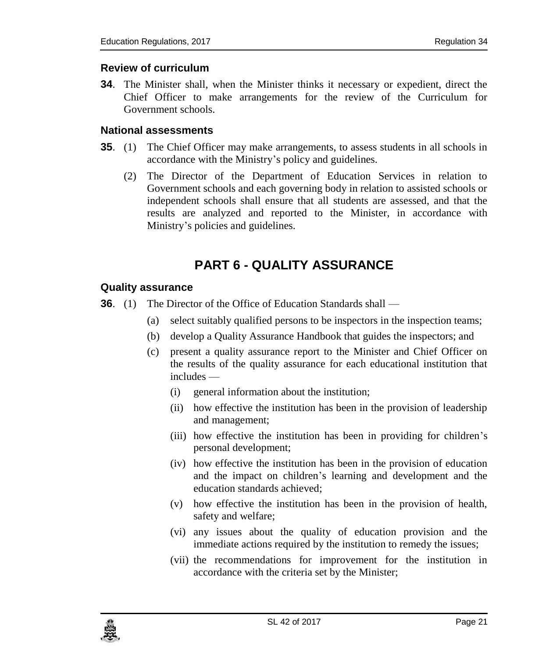### <span id="page-20-0"></span>**34. Review of curriculum**

**34**. The Minister shall, when the Minister thinks it necessary or expedient, direct the Chief Officer to make arrangements for the review of the Curriculum for Government schools.

### <span id="page-20-1"></span>**35. National assessments**

- **35.** (1) The Chief Officer may make arrangements, to assess students in all schools in accordance with the Ministry's policy and guidelines.
	- (2) The Director of the Department of Education Services in relation to Government schools and each governing body in relation to assisted schools or independent schools shall ensure that all students are assessed, and that the results are analyzed and reported to the Minister, in accordance with Ministry's policies and guidelines.

# **PART 6 - QUALITY ASSURANCE**

#### <span id="page-20-3"></span><span id="page-20-2"></span>**36. Quality assurance**

- **36.** (1) The Director of the Office of Education Standards shall
	- (a) select suitably qualified persons to be inspectors in the inspection teams;
	- (b) develop a Quality Assurance Handbook that guides the inspectors; and
	- (c) present a quality assurance report to the Minister and Chief Officer on the results of the quality assurance for each educational institution that includes —
		- (i) general information about the institution;
		- (ii) how effective the institution has been in the provision of leadership and management;
		- (iii) how effective the institution has been in providing for children's personal development;
		- (iv) how effective the institution has been in the provision of education and the impact on children's learning and development and the education standards achieved;
		- (v) how effective the institution has been in the provision of health, safety and welfare;
		- (vi) any issues about the quality of education provision and the immediate actions required by the institution to remedy the issues;
		- (vii) the recommendations for improvement for the institution in accordance with the criteria set by the Minister;

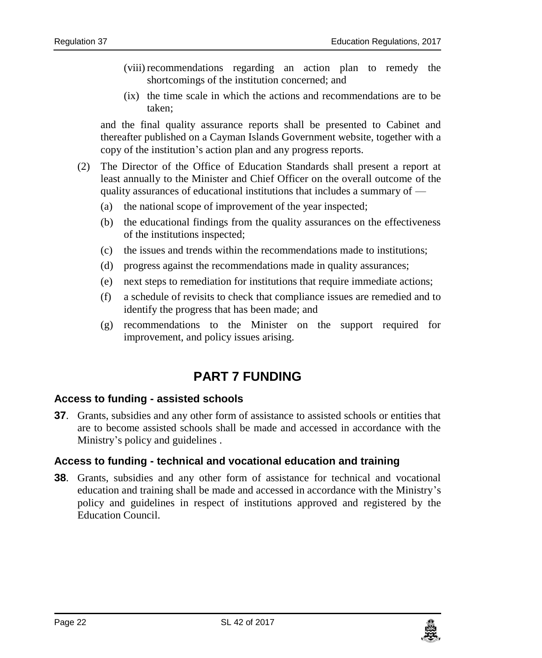- (viii) recommendations regarding an action plan to remedy the shortcomings of the institution concerned; and
- (ix) the time scale in which the actions and recommendations are to be taken;

and the final quality assurance reports shall be presented to Cabinet and thereafter published on a Cayman Islands Government website, together with a copy of the institution's action plan and any progress reports.

- (2) The Director of the Office of Education Standards shall present a report at least annually to the Minister and Chief Officer on the overall outcome of the quality assurances of educational institutions that includes a summary of —
	- (a) the national scope of improvement of the year inspected;
	- (b) the educational findings from the quality assurances on the effectiveness of the institutions inspected;
	- (c) the issues and trends within the recommendations made to institutions;
	- (d) progress against the recommendations made in quality assurances;
	- (e) next steps to remediation for institutions that require immediate actions;
	- (f) a schedule of revisits to check that compliance issues are remedied and to identify the progress that has been made; and
	- (g) recommendations to the Minister on the support required for improvement, and policy issues arising.

# **PART 7 FUNDING**

#### <span id="page-21-1"></span><span id="page-21-0"></span>**37. Access to funding - assisted schools**

**37**. Grants, subsidies and any other form of assistance to assisted schools or entities that are to become assisted schools shall be made and accessed in accordance with the Ministry's policy and guidelines .

### <span id="page-21-2"></span>**38. Access to funding - technical and vocational education and training**

**38**. Grants, subsidies and any other form of assistance for technical and vocational education and training shall be made and accessed in accordance with the Ministry's policy and guidelines in respect of institutions approved and registered by the Education Council.

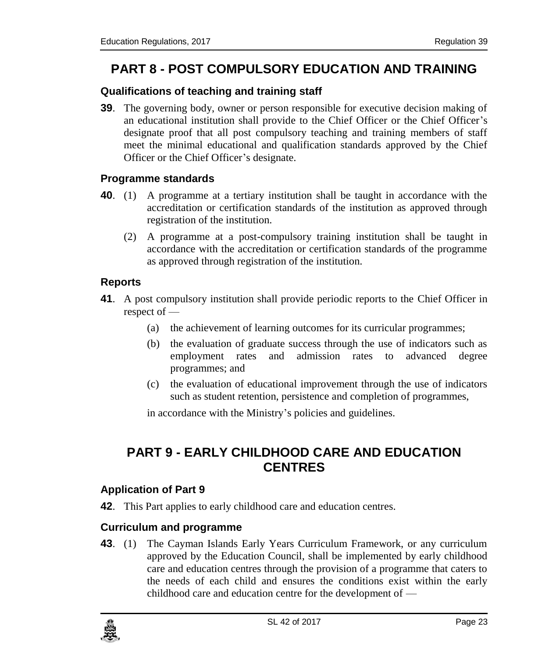# <span id="page-22-0"></span>**PART 8 - POST COMPULSORY EDUCATION AND TRAINING**

### <span id="page-22-1"></span>**39. Qualifications of teaching and training staff**

**39**. The governing body, owner or person responsible for executive decision making of an educational institution shall provide to the Chief Officer or the Chief Officer's designate proof that all post compulsory teaching and training members of staff meet the minimal educational and qualification standards approved by the Chief Officer or the Chief Officer's designate.

### <span id="page-22-2"></span>**40. Programme standards**

- **40**. (1) A programme at a tertiary institution shall be taught in accordance with the accreditation or certification standards of the institution as approved through registration of the institution.
	- (2) A programme at a post-compulsory training institution shall be taught in accordance with the accreditation or certification standards of the programme as approved through registration of the institution.

### <span id="page-22-3"></span>**41. Reports**

- **41**. A post compulsory institution shall provide periodic reports to the Chief Officer in respect of —
	- (a) the achievement of learning outcomes for its curricular programmes;
	- (b) the evaluation of graduate success through the use of indicators such as employment rates and admission rates to advanced degree programmes; and
	- (c) the evaluation of educational improvement through the use of indicators such as student retention, persistence and completion of programmes,

in accordance with the Ministry's policies and guidelines.

# <span id="page-22-4"></span>**PART 9 - EARLY CHILDHOOD CARE AND EDUCATION CENTRES**

### <span id="page-22-5"></span>**42. Application of Part 9**

**42**. This Part applies to early childhood care and education centres.

### <span id="page-22-6"></span>**43. Curriculum and programme**

**43**. (1) The Cayman Islands Early Years Curriculum Framework, or any curriculum approved by the Education Council, shall be implemented by early childhood care and education centres through the provision of a programme that caters to the needs of each child and ensures the conditions exist within the early childhood care and education centre for the development of —

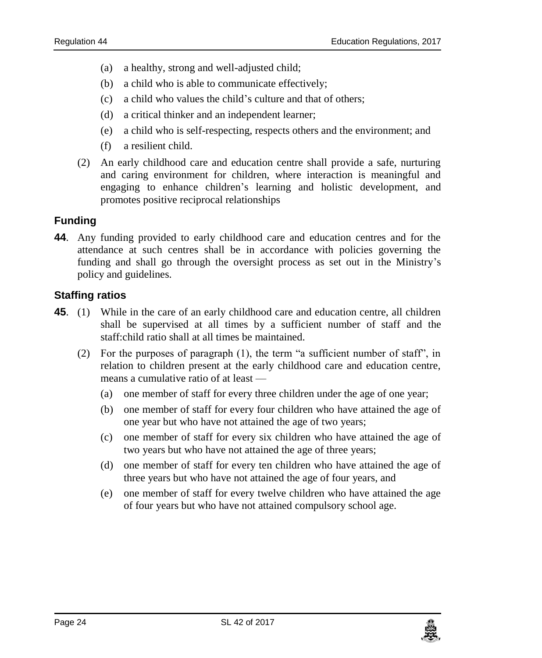- (a) a healthy, strong and well-adjusted child;
- (b) a child who is able to communicate effectively;
- (c) a child who values the child's culture and that of others;
- (d) a critical thinker and an independent learner;
- (e) a child who is self-respecting, respects others and the environment; and
- (f) a resilient child.
- (2) An early childhood care and education centre shall provide a safe, nurturing and caring environment for children, where interaction is meaningful and engaging to enhance children's learning and holistic development, and promotes positive reciprocal relationships

### <span id="page-23-0"></span>**44. Funding**

**44**. Any funding provided to early childhood care and education centres and for the attendance at such centres shall be in accordance with policies governing the funding and shall go through the oversight process as set out in the Ministry's policy and guidelines.

### <span id="page-23-1"></span>**45. Staffing ratios**

- **45**. (1) While in the care of an early childhood care and education centre, all children shall be supervised at all times by a sufficient number of staff and the staff:child ratio shall at all times be maintained.
	- (2) For the purposes of paragraph (1), the term "a sufficient number of staff", in relation to children present at the early childhood care and education centre, means a cumulative ratio of at least —
		- (a) one member of staff for every three children under the age of one year;
		- (b) one member of staff for every four children who have attained the age of one year but who have not attained the age of two years;
		- (c) one member of staff for every six children who have attained the age of two years but who have not attained the age of three years;
		- (d) one member of staff for every ten children who have attained the age of three years but who have not attained the age of four years, and
		- (e) one member of staff for every twelve children who have attained the age of four years but who have not attained compulsory school age.

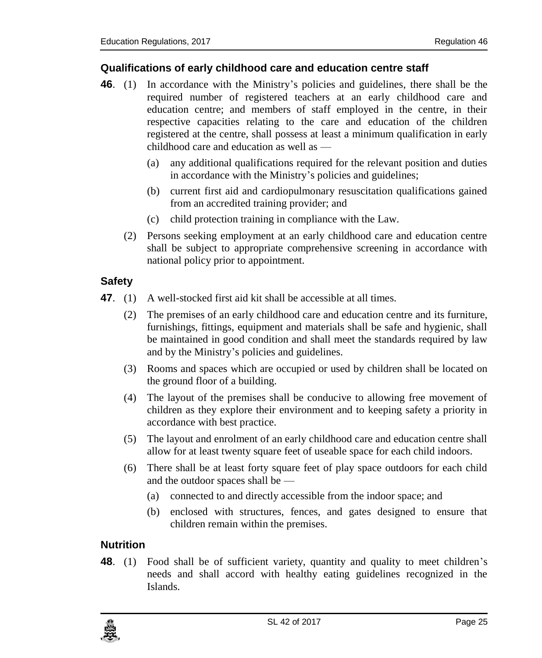### <span id="page-24-0"></span>**46. Qualifications of early childhood care and education centre staff**

- **46**. (1) In accordance with the Ministry's policies and guidelines, there shall be the required number of registered teachers at an early childhood care and education centre; and members of staff employed in the centre, in their respective capacities relating to the care and education of the children registered at the centre, shall possess at least a minimum qualification in early childhood care and education as well as —
	- (a) any additional qualifications required for the relevant position and duties in accordance with the Ministry's policies and guidelines;
	- (b) current first aid and cardiopulmonary resuscitation qualifications gained from an accredited training provider; and
	- (c) child protection training in compliance with the Law.
	- (2) Persons seeking employment at an early childhood care and education centre shall be subject to appropriate comprehensive screening in accordance with national policy prior to appointment.

### <span id="page-24-1"></span>**47. Safety**

- **47**. (1) A well-stocked first aid kit shall be accessible at all times.
	- (2) The premises of an early childhood care and education centre and its furniture, furnishings, fittings, equipment and materials shall be safe and hygienic, shall be maintained in good condition and shall meet the standards required by law and by the Ministry's policies and guidelines.
	- (3) Rooms and spaces which are occupied or used by children shall be located on the ground floor of a building.
	- (4) The layout of the premises shall be conducive to allowing free movement of children as they explore their environment and to keeping safety a priority in accordance with best practice.
	- (5) The layout and enrolment of an early childhood care and education centre shall allow for at least twenty square feet of useable space for each child indoors.
	- (6) There shall be at least forty square feet of play space outdoors for each child and the outdoor spaces shall be —
		- (a) connected to and directly accessible from the indoor space; and
		- (b) enclosed with structures, fences, and gates designed to ensure that children remain within the premises.

### <span id="page-24-2"></span>**48. Nutrition**

**48.** (1) Food shall be of sufficient variety, quantity and quality to meet children's needs and shall accord with healthy eating guidelines recognized in the Islands.

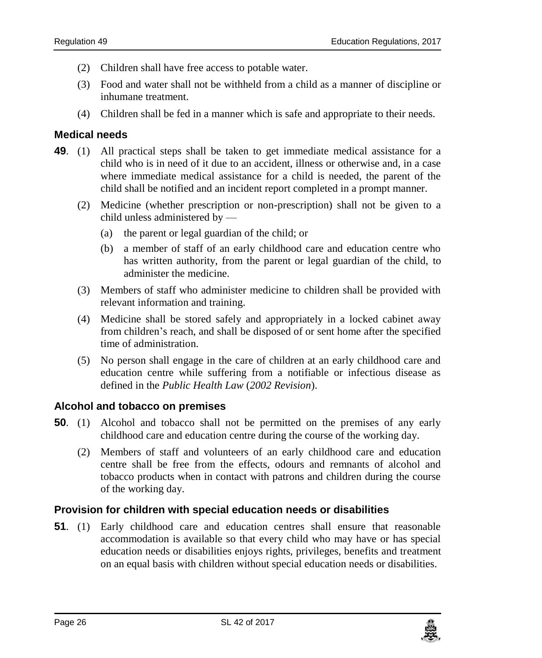- (2) Children shall have free access to potable water.
- (3) Food and water shall not be withheld from a child as a manner of discipline or inhumane treatment.
- (4) Children shall be fed in a manner which is safe and appropriate to their needs.

### <span id="page-25-0"></span>**49. Medical needs**

- **49**. (1) All practical steps shall be taken to get immediate medical assistance for a child who is in need of it due to an accident, illness or otherwise and, in a case where immediate medical assistance for a child is needed, the parent of the child shall be notified and an incident report completed in a prompt manner.
	- (2) Medicine (whether prescription or non-prescription) shall not be given to a child unless administered by —
		- (a) the parent or legal guardian of the child; or
		- (b) a member of staff of an early childhood care and education centre who has written authority, from the parent or legal guardian of the child, to administer the medicine.
	- (3) Members of staff who administer medicine to children shall be provided with relevant information and training.
	- (4) Medicine shall be stored safely and appropriately in a locked cabinet away from children's reach, and shall be disposed of or sent home after the specified time of administration.
	- (5) No person shall engage in the care of children at an early childhood care and education centre while suffering from a notifiable or infectious disease as defined in the *Public Health Law* (*2002 Revision*).

### <span id="page-25-1"></span>**50. Alcohol and tobacco on premises**

- **50**. (1) Alcohol and tobacco shall not be permitted on the premises of any early childhood care and education centre during the course of the working day.
	- (2) Members of staff and volunteers of an early childhood care and education centre shall be free from the effects, odours and remnants of alcohol and tobacco products when in contact with patrons and children during the course of the working day.

### <span id="page-25-2"></span>**51. Provision for children with special education needs or disabilities**

**51**. (1) Early childhood care and education centres shall ensure that reasonable accommodation is available so that every child who may have or has special education needs or disabilities enjoys rights, privileges, benefits and treatment on an equal basis with children without special education needs or disabilities.

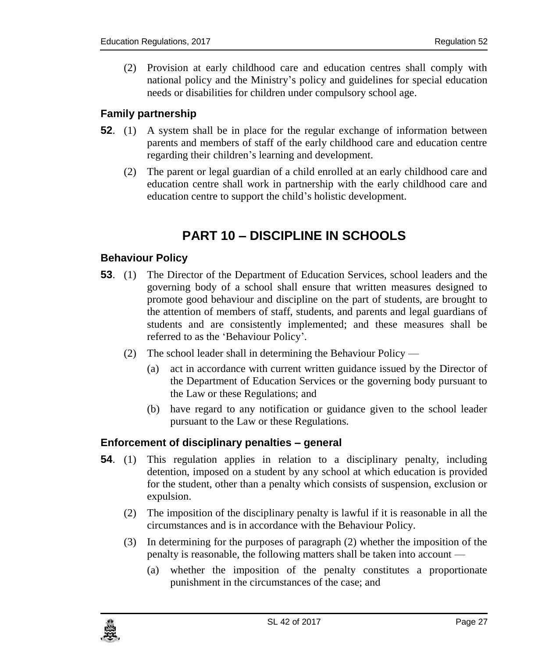(2) Provision at early childhood care and education centres shall comply with national policy and the Ministry's policy and guidelines for special education needs or disabilities for children under compulsory school age.

### <span id="page-26-0"></span>**52. Family partnership**

- **52**. (1) A system shall be in place for the regular exchange of information between parents and members of staff of the early childhood care and education centre regarding their children's learning and development.
	- (2) The parent or legal guardian of a child enrolled at an early childhood care and education centre shall work in partnership with the early childhood care and education centre to support the child's holistic development.

# **PART 10 – DISCIPLINE IN SCHOOLS**

### <span id="page-26-2"></span><span id="page-26-1"></span>**53. Behaviour Policy**

- **53**. (1) The Director of the Department of Education Services, school leaders and the governing body of a school shall ensure that written measures designed to promote good behaviour and discipline on the part of students, are brought to the attention of members of staff, students, and parents and legal guardians of students and are consistently implemented; and these measures shall be referred to as the 'Behaviour Policy'.
	- (2) The school leader shall in determining the Behaviour Policy
		- (a) act in accordance with current written guidance issued by the Director of the Department of Education Services or the governing body pursuant to the Law or these Regulations; and
		- (b) have regard to any notification or guidance given to the school leader pursuant to the Law or these Regulations.

#### <span id="page-26-3"></span>**54. Enforcement of disciplinary penalties – general**

- **54**. (1) This regulation applies in relation to a disciplinary penalty, including detention, imposed on a student by any school at which education is provided for the student, other than a penalty which consists of suspension, exclusion or expulsion.
	- (2) The imposition of the disciplinary penalty is lawful if it is reasonable in all the circumstances and is in accordance with the Behaviour Policy.
	- (3) In determining for the purposes of paragraph (2) whether the imposition of the penalty is reasonable, the following matters shall be taken into account —
		- (a) whether the imposition of the penalty constitutes a proportionate punishment in the circumstances of the case; and

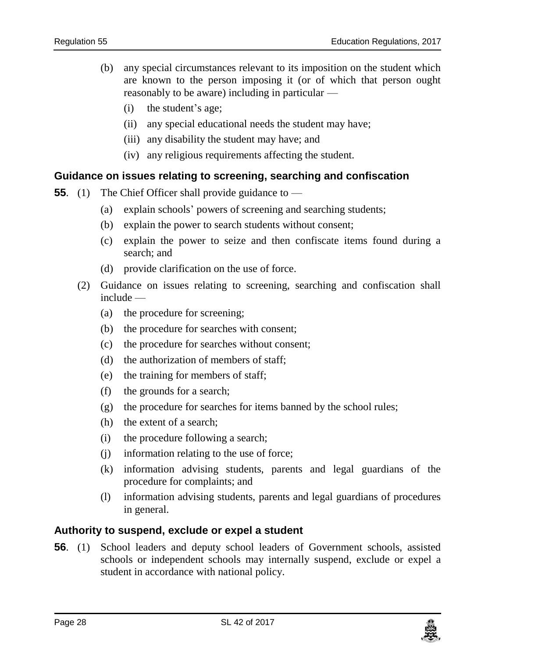- (b) any special circumstances relevant to its imposition on the student which are known to the person imposing it (or of which that person ought reasonably to be aware) including in particular —
	- (i) the student's age;
	- (ii) any special educational needs the student may have;
	- (iii) any disability the student may have; and
	- (iv) any religious requirements affecting the student.

#### <span id="page-27-0"></span>**55. Guidance on issues relating to screening, searching and confiscation**

- **55.** (1) The Chief Officer shall provide guidance to
	- (a) explain schools' powers of screening and searching students;
	- (b) explain the power to search students without consent;
	- (c) explain the power to seize and then confiscate items found during a search; and
	- (d) provide clarification on the use of force.
	- (2) Guidance on issues relating to screening, searching and confiscation shall include —
		- (a) the procedure for screening;
		- (b) the procedure for searches with consent;
		- (c) the procedure for searches without consent;
		- (d) the authorization of members of staff;
		- (e) the training for members of staff;
		- (f) the grounds for a search;
		- (g) the procedure for searches for items banned by the school rules;
		- (h) the extent of a search;
		- (i) the procedure following a search;
		- (j) information relating to the use of force;
		- (k) information advising students, parents and legal guardians of the procedure for complaints; and
		- (l) information advising students, parents and legal guardians of procedures in general.

#### <span id="page-27-1"></span>**56. Authority to suspend, exclude or expel a student**

**56**. (1) School leaders and deputy school leaders of Government schools, assisted schools or independent schools may internally suspend, exclude or expel a student in accordance with national policy.

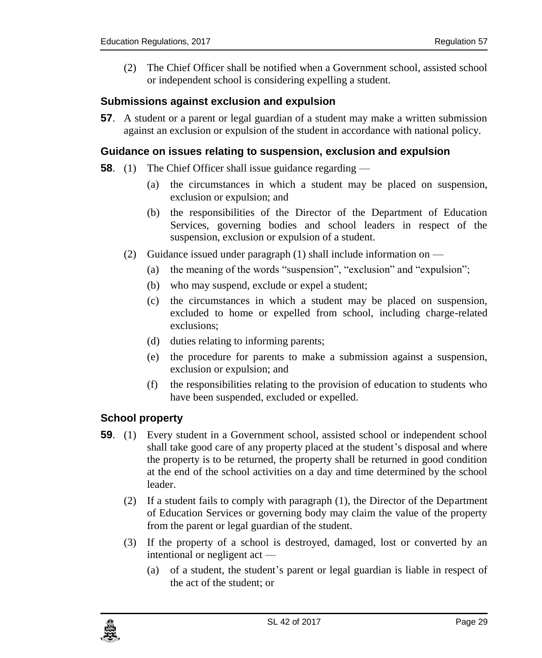(2) The Chief Officer shall be notified when a Government school, assisted school or independent school is considering expelling a student.

### <span id="page-28-0"></span>**57. Submissions against exclusion and expulsion**

**57**. A student or a parent or legal guardian of a student may make a written submission against an exclusion or expulsion of the student in accordance with national policy.

#### <span id="page-28-1"></span>**58. Guidance on issues relating to suspension, exclusion and expulsion**

- **58.** (1) The Chief Officer shall issue guidance regarding
	- (a) the circumstances in which a student may be placed on suspension, exclusion or expulsion; and
	- (b) the responsibilities of the Director of the Department of Education Services, governing bodies and school leaders in respect of the suspension, exclusion or expulsion of a student.
	- (2) Guidance issued under paragraph (1) shall include information on
		- (a) the meaning of the words "suspension", "exclusion" and "expulsion";
		- (b) who may suspend, exclude or expel a student;
		- (c) the circumstances in which a student may be placed on suspension, excluded to home or expelled from school, including charge-related exclusions;
		- (d) duties relating to informing parents;
		- (e) the procedure for parents to make a submission against a suspension, exclusion or expulsion; and
		- (f) the responsibilities relating to the provision of education to students who have been suspended, excluded or expelled.

### <span id="page-28-2"></span>**59. School property**

- **59.** (1) Every student in a Government school, assisted school or independent school shall take good care of any property placed at the student's disposal and where the property is to be returned, the property shall be returned in good condition at the end of the school activities on a day and time determined by the school leader.
	- (2) If a student fails to comply with paragraph (1), the Director of the Department of Education Services or governing body may claim the value of the property from the parent or legal guardian of the student.
	- (3) If the property of a school is destroyed, damaged, lost or converted by an intentional or negligent act —
		- (a) of a student, the student's parent or legal guardian is liable in respect of the act of the student; or

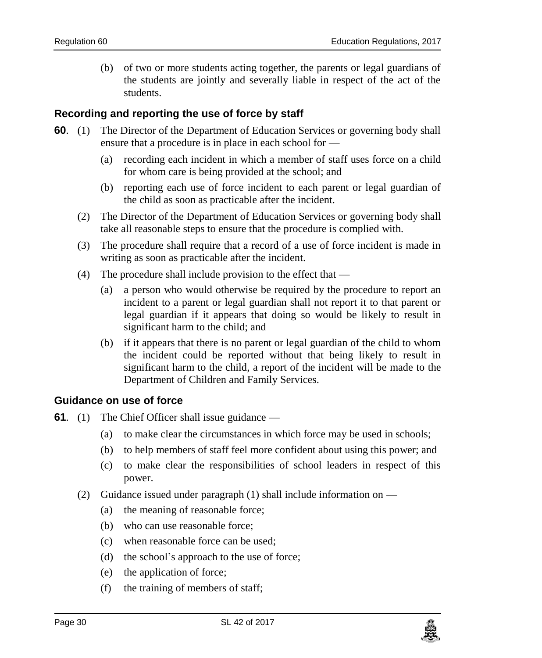(b) of two or more students acting together, the parents or legal guardians of the students are jointly and severally liable in respect of the act of the students.

### <span id="page-29-0"></span>**60. Recording and reporting the use of force by staff**

- **60**. (1) The Director of the Department of Education Services or governing body shall ensure that a procedure is in place in each school for —
	- (a) recording each incident in which a member of staff uses force on a child for whom care is being provided at the school; and
	- (b) reporting each use of force incident to each parent or legal guardian of the child as soon as practicable after the incident.
	- (2) The Director of the Department of Education Services or governing body shall take all reasonable steps to ensure that the procedure is complied with.
	- (3) The procedure shall require that a record of a use of force incident is made in writing as soon as practicable after the incident.
	- (4) The procedure shall include provision to the effect that
		- (a) a person who would otherwise be required by the procedure to report an incident to a parent or legal guardian shall not report it to that parent or legal guardian if it appears that doing so would be likely to result in significant harm to the child; and
		- (b) if it appears that there is no parent or legal guardian of the child to whom the incident could be reported without that being likely to result in significant harm to the child, a report of the incident will be made to the Department of Children and Family Services.

### <span id="page-29-1"></span>**61. Guidance on use of force**

- **61.** (1) The Chief Officer shall issue guidance
	- (a) to make clear the circumstances in which force may be used in schools;
	- (b) to help members of staff feel more confident about using this power; and
	- (c) to make clear the responsibilities of school leaders in respect of this power.
	- (2) Guidance issued under paragraph  $(1)$  shall include information on
		- (a) the meaning of reasonable force;
		- (b) who can use reasonable force;
		- (c) when reasonable force can be used;
		- (d) the school's approach to the use of force;
		- (e) the application of force;
		- (f) the training of members of staff;

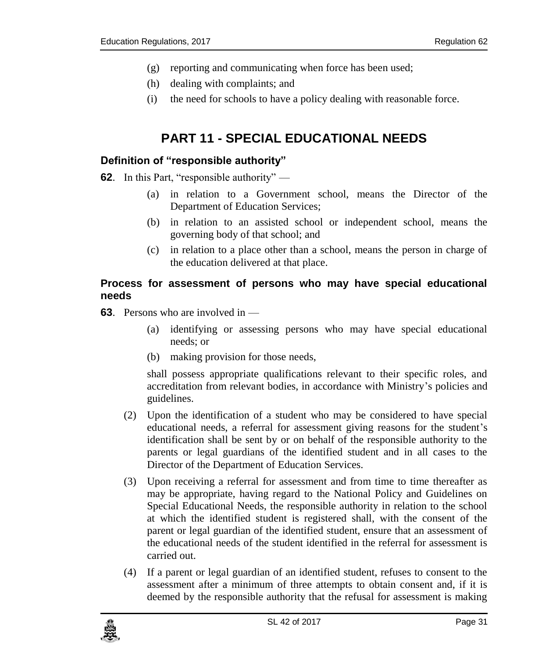- (g) reporting and communicating when force has been used;
- (h) dealing with complaints; and
- (i) the need for schools to have a policy dealing with reasonable force.

# **PART 11 - SPECIAL EDUCATIONAL NEEDS**

### <span id="page-30-1"></span><span id="page-30-0"></span>**62. Definition of "responsible authority"**

- **62**. In this Part, "responsible authority"
	- (a) in relation to a Government school, means the Director of the Department of Education Services;
	- (b) in relation to an assisted school or independent school, means the governing body of that school; and
	- (c) in relation to a place other than a school, means the person in charge of the education delivered at that place.

### <span id="page-30-2"></span>**63. Process for assessment of persons who may have special educational needs**

- **63**. Persons who are involved in
	- (a) identifying or assessing persons who may have special educational needs; or
	- (b) making provision for those needs,

shall possess appropriate qualifications relevant to their specific roles, and accreditation from relevant bodies, in accordance with Ministry's policies and guidelines.

- (2) Upon the identification of a student who may be considered to have special educational needs, a referral for assessment giving reasons for the student's identification shall be sent by or on behalf of the responsible authority to the parents or legal guardians of the identified student and in all cases to the Director of the Department of Education Services.
- (3) Upon receiving a referral for assessment and from time to time thereafter as may be appropriate, having regard to the National Policy and Guidelines on Special Educational Needs, the responsible authority in relation to the school at which the identified student is registered shall, with the consent of the parent or legal guardian of the identified student, ensure that an assessment of the educational needs of the student identified in the referral for assessment is carried out.
- (4) If a parent or legal guardian of an identified student, refuses to consent to the assessment after a minimum of three attempts to obtain consent and, if it is deemed by the responsible authority that the refusal for assessment is making

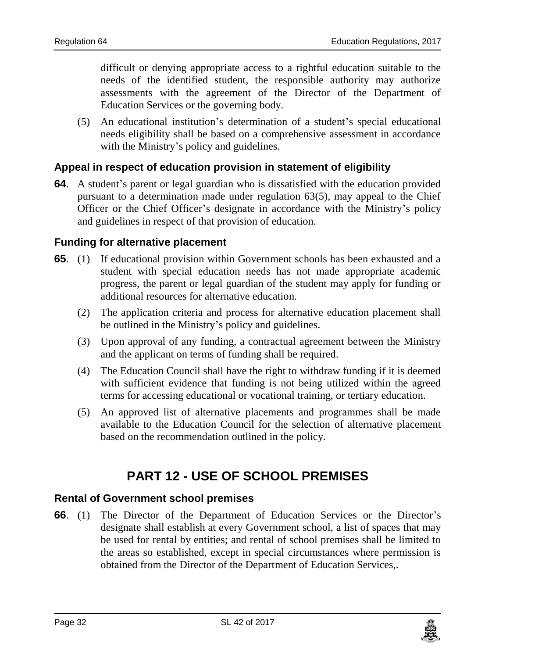difficult or denying appropriate access to a rightful education suitable to the needs of the identified student, the responsible authority may authorize assessments with the agreement of the Director of the Department of Education Services or the governing body.

(5) An educational institution's determination of a student's special educational needs eligibility shall be based on a comprehensive assessment in accordance with the Ministry's policy and guidelines.

### <span id="page-31-0"></span>**64. Appeal in respect of education provision in statement of eligibility**

**64**. A student's parent or legal guardian who is dissatisfied with the education provided pursuant to a determination made under regulation 63(5), may appeal to the Chief Officer or the Chief Officer's designate in accordance with the Ministry's policy and guidelines in respect of that provision of education.

### <span id="page-31-1"></span>**65. Funding for alternative placement**

- **65**. (1) If educational provision within Government schools has been exhausted and a student with special education needs has not made appropriate academic progress, the parent or legal guardian of the student may apply for funding or additional resources for alternative education.
	- (2) The application criteria and process for alternative education placement shall be outlined in the Ministry's policy and guidelines.
	- (3) Upon approval of any funding, a contractual agreement between the Ministry and the applicant on terms of funding shall be required.
	- (4) The Education Council shall have the right to withdraw funding if it is deemed with sufficient evidence that funding is not being utilized within the agreed terms for accessing educational or vocational training, or tertiary education.
	- (5) An approved list of alternative placements and programmes shall be made available to the Education Council for the selection of alternative placement based on the recommendation outlined in the policy.

# **PART 12 - USE OF SCHOOL PREMISES**

#### <span id="page-31-3"></span><span id="page-31-2"></span>**66. Rental of Government school premises**

**66**. (1) The Director of the Department of Education Services or the Director's designate shall establish at every Government school, a list of spaces that may be used for rental by entities; and rental of school premises shall be limited to the areas so established, except in special circumstances where permission is obtained from the Director of the Department of Education Services,.

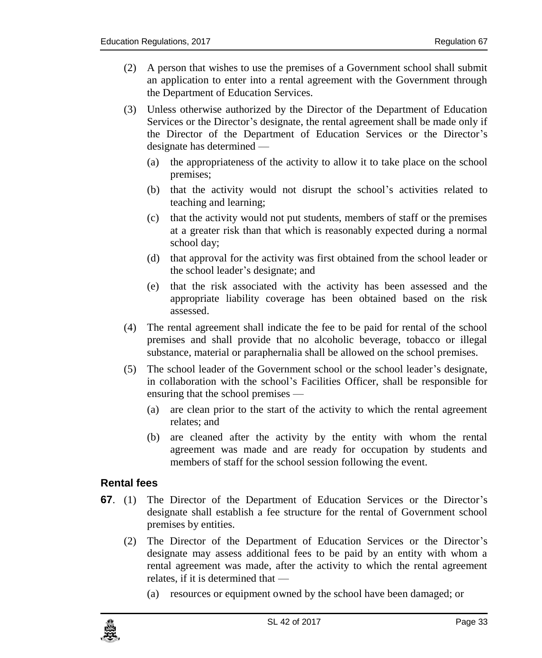- (2) A person that wishes to use the premises of a Government school shall submit an application to enter into a rental agreement with the Government through the Department of Education Services.
- (3) Unless otherwise authorized by the Director of the Department of Education Services or the Director's designate, the rental agreement shall be made only if the Director of the Department of Education Services or the Director's designate has determined —
	- (a) the appropriateness of the activity to allow it to take place on the school premises;
	- (b) that the activity would not disrupt the school's activities related to teaching and learning;
	- (c) that the activity would not put students, members of staff or the premises at a greater risk than that which is reasonably expected during a normal school day;
	- (d) that approval for the activity was first obtained from the school leader or the school leader's designate; and
	- (e) that the risk associated with the activity has been assessed and the appropriate liability coverage has been obtained based on the risk assessed.
- (4) The rental agreement shall indicate the fee to be paid for rental of the school premises and shall provide that no alcoholic beverage, tobacco or illegal substance, material or paraphernalia shall be allowed on the school premises.
- (5) The school leader of the Government school or the school leader's designate, in collaboration with the school's Facilities Officer, shall be responsible for ensuring that the school premises —
	- (a) are clean prior to the start of the activity to which the rental agreement relates; and
	- (b) are cleaned after the activity by the entity with whom the rental agreement was made and are ready for occupation by students and members of staff for the school session following the event.

### <span id="page-32-0"></span>**67. Rental fees**

- **67**. (1) The Director of the Department of Education Services or the Director's designate shall establish a fee structure for the rental of Government school premises by entities.
	- (2) The Director of the Department of Education Services or the Director's designate may assess additional fees to be paid by an entity with whom a rental agreement was made, after the activity to which the rental agreement relates, if it is determined that —
		- (a) resources or equipment owned by the school have been damaged; or

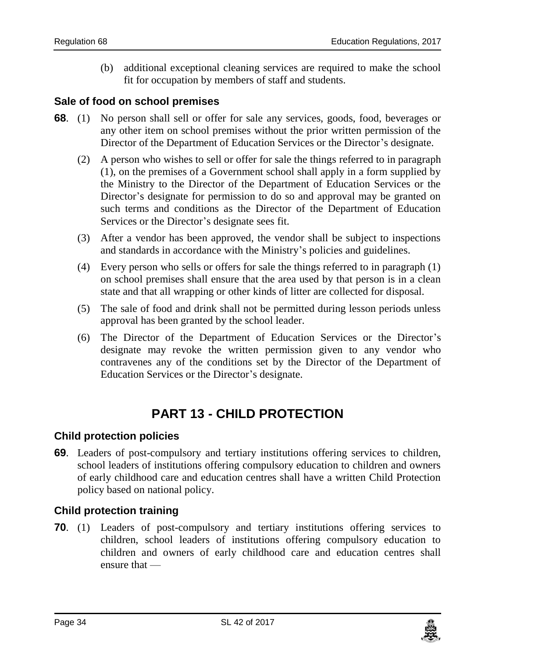(b) additional exceptional cleaning services are required to make the school fit for occupation by members of staff and students.

### <span id="page-33-0"></span>**68. Sale of food on school premises**

- **68**. (1) No person shall sell or offer for sale any services, goods, food, beverages or any other item on school premises without the prior written permission of the Director of the Department of Education Services or the Director's designate.
	- (2) A person who wishes to sell or offer for sale the things referred to in paragraph (1), on the premises of a Government school shall apply in a form supplied by the Ministry to the Director of the Department of Education Services or the Director's designate for permission to do so and approval may be granted on such terms and conditions as the Director of the Department of Education Services or the Director's designate sees fit.
	- (3) After a vendor has been approved, the vendor shall be subject to inspections and standards in accordance with the Ministry's policies and guidelines.
	- (4) Every person who sells or offers for sale the things referred to in paragraph (1) on school premises shall ensure that the area used by that person is in a clean state and that all wrapping or other kinds of litter are collected for disposal.
	- (5) The sale of food and drink shall not be permitted during lesson periods unless approval has been granted by the school leader.
	- (6) The Director of the Department of Education Services or the Director's designate may revoke the written permission given to any vendor who contravenes any of the conditions set by the Director of the Department of Education Services or the Director's designate.

# **PART 13 - CHILD PROTECTION**

#### <span id="page-33-2"></span><span id="page-33-1"></span>**69. Child protection policies**

**69**. Leaders of post-compulsory and tertiary institutions offering services to children, school leaders of institutions offering compulsory education to children and owners of early childhood care and education centres shall have a written Child Protection policy based on national policy.

### <span id="page-33-3"></span>**70. Child protection training**

**70**. (1) Leaders of post-compulsory and tertiary institutions offering services to children, school leaders of institutions offering compulsory education to children and owners of early childhood care and education centres shall ensure that —

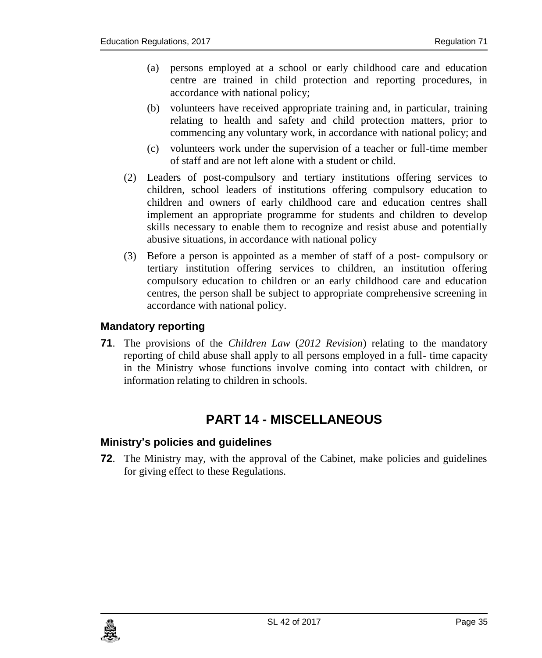- (a) persons employed at a school or early childhood care and education centre are trained in child protection and reporting procedures, in accordance with national policy;
- (b) volunteers have received appropriate training and, in particular, training relating to health and safety and child protection matters, prior to commencing any voluntary work, in accordance with national policy; and
- (c) volunteers work under the supervision of a teacher or full-time member of staff and are not left alone with a student or child.
- (2) Leaders of post-compulsory and tertiary institutions offering services to children, school leaders of institutions offering compulsory education to children and owners of early childhood care and education centres shall implement an appropriate programme for students and children to develop skills necessary to enable them to recognize and resist abuse and potentially abusive situations, in accordance with national policy
- (3) Before a person is appointed as a member of staff of a post- compulsory or tertiary institution offering services to children, an institution offering compulsory education to children or an early childhood care and education centres, the person shall be subject to appropriate comprehensive screening in accordance with national policy.

### <span id="page-34-0"></span>**71. Mandatory reporting**

**71**. The provisions of the *Children Law* (*2012 Revision*) relating to the mandatory reporting of child abuse shall apply to all persons employed in a full- time capacity in the Ministry whose functions involve coming into contact with children, or information relating to children in schools.

# **PART 14 - MISCELLANEOUS**

### <span id="page-34-2"></span><span id="page-34-1"></span>**72. Ministry's policies and guidelines**

**72**. The Ministry may, with the approval of the Cabinet, make policies and guidelines for giving effect to these Regulations.

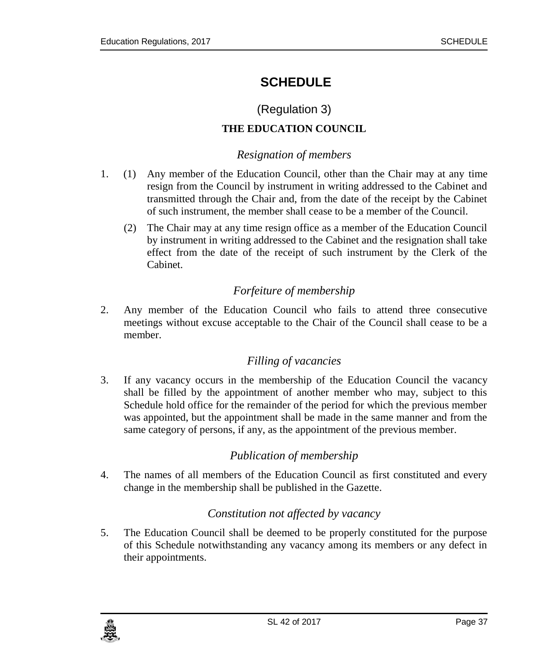# <span id="page-36-0"></span>**SCHEDULE**

## (Regulation 3)

### **THE EDUCATION COUNCIL**

### *Resignation of members*

- <span id="page-36-1"></span>1. (1) Any member of the Education Council, other than the Chair may at any time resign from the Council by instrument in writing addressed to the Cabinet and transmitted through the Chair and, from the date of the receipt by the Cabinet of such instrument, the member shall cease to be a member of the Council.
	- (2) The Chair may at any time resign office as a member of the Education Council by instrument in writing addressed to the Cabinet and the resignation shall take effect from the date of the receipt of such instrument by the Clerk of the Cabinet.

### *Forfeiture of membership*

<span id="page-36-2"></span>2. Any member of the Education Council who fails to attend three consecutive meetings without excuse acceptable to the Chair of the Council shall cease to be a member.

### *Filling of vacancies*

<span id="page-36-3"></span>3. If any vacancy occurs in the membership of the Education Council the vacancy shall be filled by the appointment of another member who may, subject to this Schedule hold office for the remainder of the period for which the previous member was appointed, but the appointment shall be made in the same manner and from the same category of persons, if any, as the appointment of the previous member.

### *Publication of membership*

<span id="page-36-5"></span><span id="page-36-4"></span>4. The names of all members of the Education Council as first constituted and every change in the membership shall be published in the Gazette.

### *Constitution not affected by vacancy*

5. The Education Council shall be deemed to be properly constituted for the purpose of this Schedule notwithstanding any vacancy among its members or any defect in their appointments.

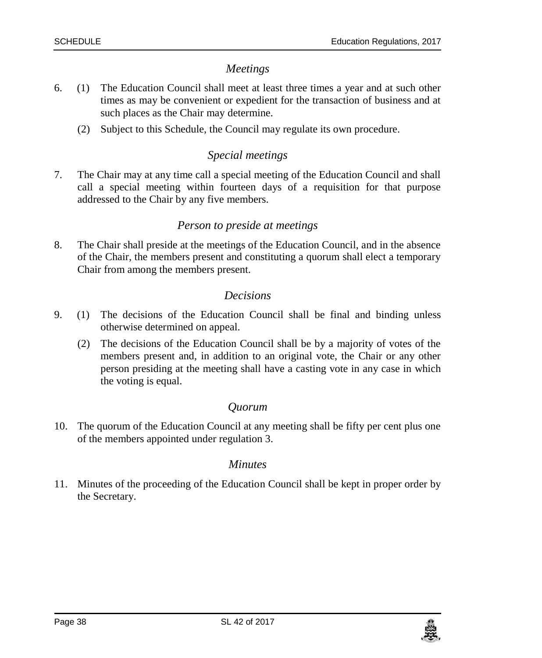### *Meetings*

- <span id="page-37-0"></span>6. (1) The Education Council shall meet at least three times a year and at such other times as may be convenient or expedient for the transaction of business and at such places as the Chair may determine.
	- (2) Subject to this Schedule, the Council may regulate its own procedure.

### *Special meetings*

<span id="page-37-1"></span>7. The Chair may at any time call a special meeting of the Education Council and shall call a special meeting within fourteen days of a requisition for that purpose addressed to the Chair by any five members.

### *Person to preside at meetings*

<span id="page-37-2"></span>8. The Chair shall preside at the meetings of the Education Council, and in the absence of the Chair, the members present and constituting a quorum shall elect a temporary Chair from among the members present.

### *Decisions*

- <span id="page-37-3"></span>9. (1) The decisions of the Education Council shall be final and binding unless otherwise determined on appeal.
	- (2) The decisions of the Education Council shall be by a majority of votes of the members present and, in addition to an original vote, the Chair or any other person presiding at the meeting shall have a casting vote in any case in which the voting is equal.

### *Quorum*

<span id="page-37-5"></span><span id="page-37-4"></span>10. The quorum of the Education Council at any meeting shall be fifty per cent plus one of the members appointed under regulation 3.

#### *Minutes*

11. Minutes of the proceeding of the Education Council shall be kept in proper order by the Secretary.